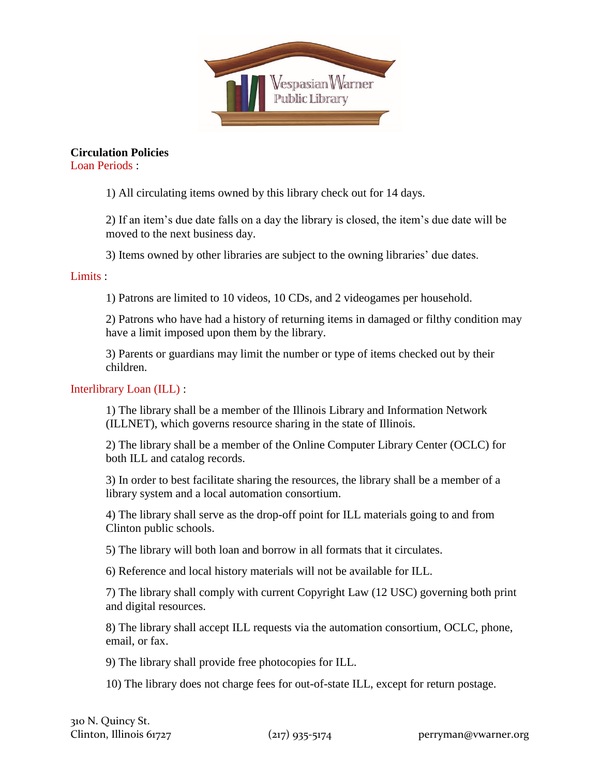

**Circulation Policies**

Loan Periods :

1) All circulating items owned by this library check out for 14 days.

2) If an item's due date falls on a day the library is closed, the item's due date will be moved to the next business day.

3) Items owned by other libraries are subject to the owning libraries' due dates.

## Limits :

1) Patrons are limited to 10 videos, 10 CDs, and 2 videogames per household.

2) Patrons who have had a history of returning items in damaged or filthy condition may have a limit imposed upon them by the library.

3) Parents or guardians may limit the number or type of items checked out by their children.

## Interlibrary Loan (ILL) :

1) The library shall be a member of the Illinois Library and Information Network (ILLNET), which governs resource sharing in the state of Illinois.

2) The library shall be a member of the Online Computer Library Center (OCLC) for both ILL and catalog records.

3) In order to best facilitate sharing the resources, the library shall be a member of a library system and a local automation consortium.

4) The library shall serve as the drop-off point for ILL materials going to and from Clinton public schools.

5) The library will both loan and borrow in all formats that it circulates.

6) Reference and local history materials will not be available for ILL.

7) The library shall comply with current Copyright Law (12 USC) governing both print and digital resources.

8) The library shall accept ILL requests via the automation consortium, OCLC, phone, email, or fax.

9) The library shall provide free photocopies for ILL.

10) The library does not charge fees for out-of-state ILL, except for return postage.